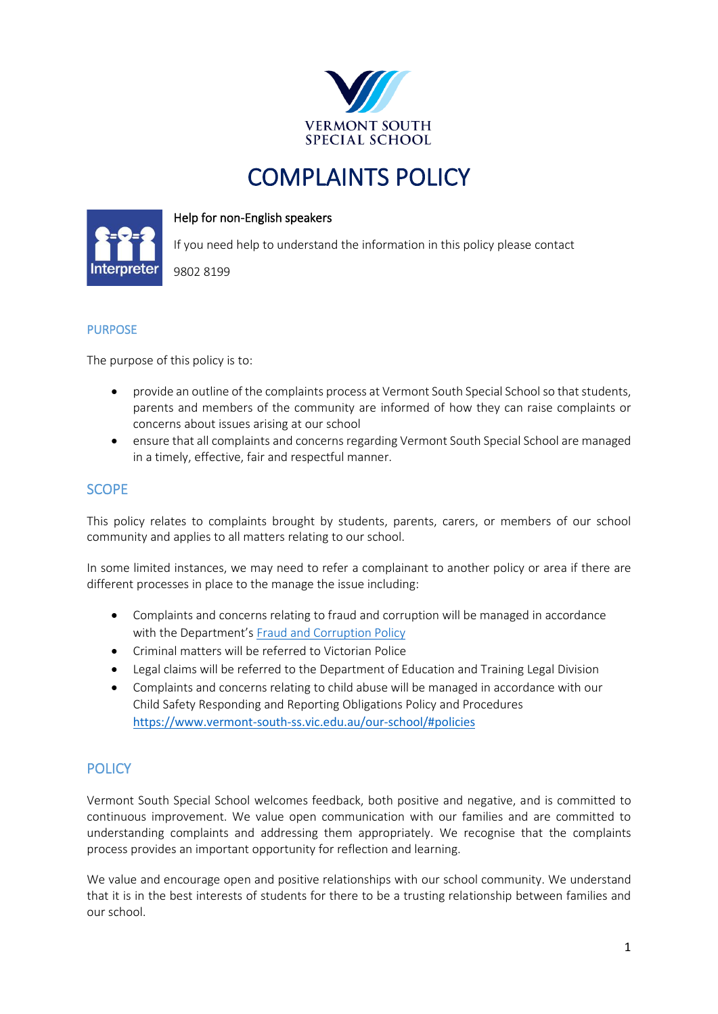

# COMPLAINTS POLICY

#### Help for non-English speakers

If you need help to understand the information in this policy please contact

9802 8199



#### PURPOSE

The purpose of this policy is to:

- provide an outline of the complaints process at Vermont South Special School so that students, parents and members of the community are informed of how they can raise complaints or concerns about issues arising at our school
- ensure that all complaints and concerns regarding Vermont South Special School are managed in a timely, effective, fair and respectful manner.

# **SCOPE**

This policy relates to complaints brought by students, parents, carers, or members of our school community and applies to all matters relating to our school.

In some limited instances, we may need to refer a complainant to another policy or area if there are different processes in place to the manage the issue including:

- Complaints and concerns relating to fraud and corruption will be managed in accordance with the Department's [Fraud and Corruption Policy](https://www2.education.vic.gov.au/pal/report-fraud-or-corruption/overview)
- Criminal matters will be referred to Victorian Police
- Legal claims will be referred to the Department of Education and Training Legal Division
- Complaints and concerns relating to child abuse will be managed in accordance with our Child Safety Responding and Reporting Obligations Policy and Procedures [https://www.vermont-south-ss.vic.edu.au/our-school/#policies](https://aus01.safelinks.protection.outlook.com/?url=https%3A%2F%2Fwww.vermont-south-ss.vic.edu.au%2Four-school%2F%23policies&data=05%7C01%7CClare.Merison%40education.vic.gov.au%7C6ba670ff511f4f532adb08da3c59d660%7Cd96cb3371a8744cfb69b3cec334a4c1f%7C0%7C0%7C637888653783038577%7CUnknown%7CTWFpbGZsb3d8eyJWIjoiMC4wLjAwMDAiLCJQIjoiV2luMzIiLCJBTiI6Ik1haWwiLCJXVCI6Mn0%3D%7C3000%7C%7C%7C&sdata=BaAWZu4g1EDS3fOONNzckC9xj1gZliD8ihThQNRpZ2A%3D&reserved=0)

# **POLICY**

Vermont South Special School welcomes feedback, both positive and negative, and is committed to continuous improvement. We value open communication with our families and are committed to understanding complaints and addressing them appropriately. We recognise that the complaints process provides an important opportunity for reflection and learning.

We value and encourage open and positive relationships with our school community. We understand that it is in the best interests of students for there to be a trusting relationship between families and our school.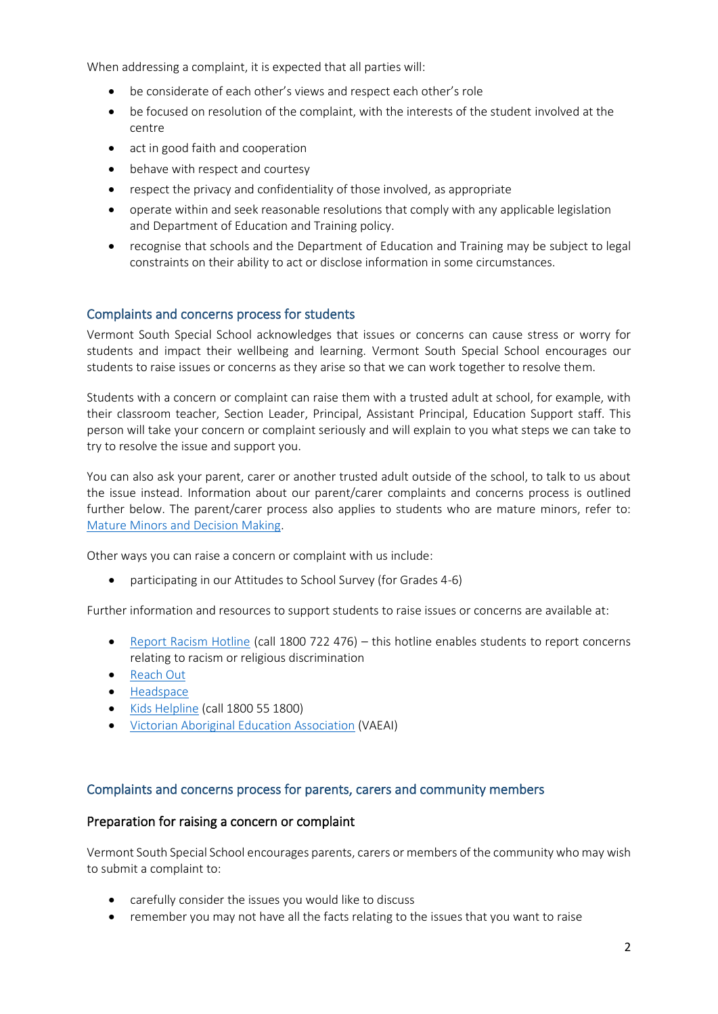When addressing a complaint, it is expected that all parties will:

- be considerate of each other's views and respect each other's role
- be focused on resolution of the complaint, with the interests of the student involved at the centre
- act in good faith and cooperation
- behave with respect and courtesy
- respect the privacy and confidentiality of those involved, as appropriate
- operate within and seek reasonable resolutions that comply with any applicable legislation and Department of Education and Training policy.
- recognise that schools and the Department of Education and Training may be subject to legal constraints on their ability to act or disclose information in some circumstances.

#### Complaints and concerns process for students

Vermont South Special School acknowledges that issues or concerns can cause stress or worry for students and impact their wellbeing and learning. Vermont South Special School encourages our students to raise issues or concerns as they arise so that we can work together to resolve them.

Students with a concern or complaint can raise them with a trusted adult at school, for example, with their classroom teacher, Section Leader, Principal, Assistant Principal, Education Support staff. This person will take your concern or complaint seriously and will explain to you what steps we can take to try to resolve the issue and support you.

You can also ask your parent, carer or another trusted adult outside of the school, to talk to us about the issue instead. Information about our parent/carer complaints and concerns process is outlined further below. The parent/carer process also applies to students who are mature minors, refer to: [Mature Minors and Decision Making.](https://www2.education.vic.gov.au/pal/mature-minors-and-decision-making/policy)

Other ways you can raise a concern or complaint with us include:

• participating in our Attitudes to School Survey (for Grades 4-6)

Further information and resources to support students to raise issues or concerns are available at:

- [Report Racism Hotline](https://www.vic.gov.au/report-racism-or-religious-discrimination-schools) (call 1800 722 476) this hotline enables students to report concerns relating to racism or religious discrimination
- [Reach Out](https://au.reachout.com/?gclid=CjwKCAiAgbiQBhAHEiwAuQ6BktaB5xneGFK3TnOql5c5eZ7af7dDm9ffLZa7N59FEtbtQzVIk8sGWhoC8N0QAvD_BwE)
- [Headspace](https://headspace.org.au/)
- [Kids Helpline](https://kidshelpline.com.au/?gclid=CjwKCAiAgbiQBhAHEiwAuQ6Bkro6UD2EBcRILznFnRhKjfi5I84jJlUa0fyiiYLQ4mHx5sXTStxH8BoCCEIQAvD_BwE) (call 1800 55 1800)
- [Victorian Aboriginal Education Association](https://www.vaeai.org.au/) (VAEAI)

#### Complaints and concerns process for parents, carers and community members

#### Preparation for raising a concern or complaint

Vermont South Special School encourages parents, carers or members of the community who may wish to submit a complaint to:

- carefully consider the issues you would like to discuss
- remember you may not have all the facts relating to the issues that you want to raise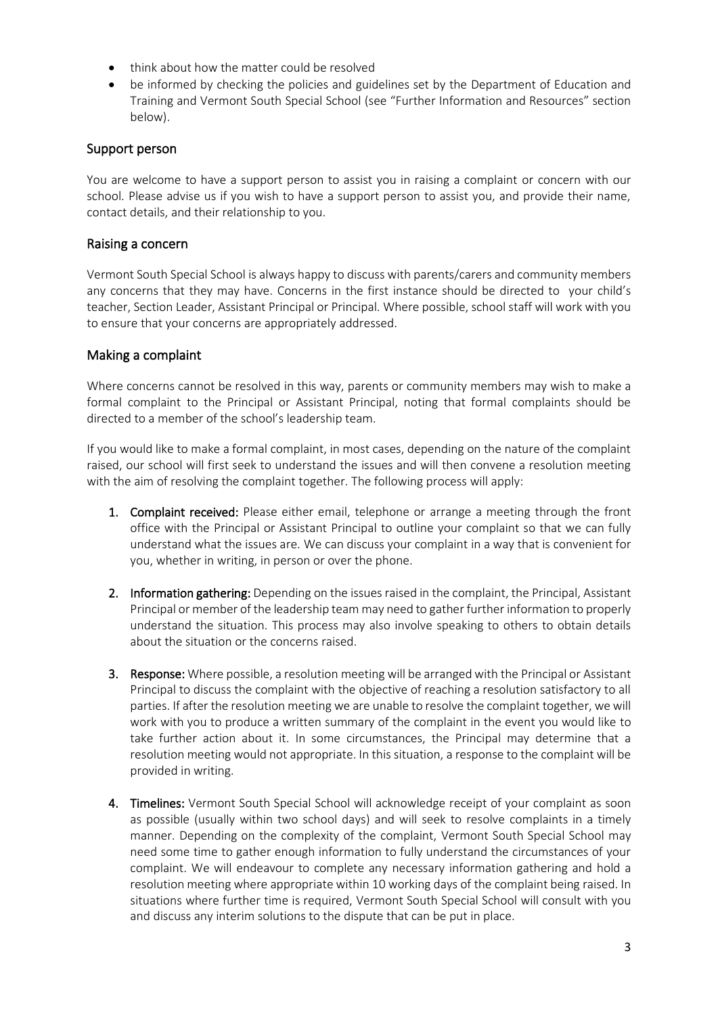- think about how the matter could be resolved
- be informed by checking the policies and guidelines set by the Department of Education and Training and Vermont South Special School (see "Further Information and Resources" section below).

## Support person

You are welcome to have a support person to assist you in raising a complaint or concern with our school. Please advise us if you wish to have a support person to assist you, and provide their name, contact details, and their relationship to you.

### Raising a concern

Vermont South Special School is always happy to discuss with parents/carers and community members any concerns that they may have. Concerns in the first instance should be directed to your child's teacher, Section Leader, Assistant Principal or Principal. Where possible, school staff will work with you to ensure that your concerns are appropriately addressed.

### Making a complaint

Where concerns cannot be resolved in this way, parents or community members may wish to make a formal complaint to the Principal or Assistant Principal, noting that formal complaints should be directed to a member of the school's leadership team.

If you would like to make a formal complaint, in most cases, depending on the nature of the complaint raised, our school will first seek to understand the issues and will then convene a resolution meeting with the aim of resolving the complaint together. The following process will apply:

- 1. Complaint received: Please either email, telephone or arrange a meeting through the front office with the Principal or Assistant Principal to outline your complaint so that we can fully understand what the issues are. We can discuss your complaint in a way that is convenient for you, whether in writing, in person or over the phone.
- 2. Information gathering: Depending on the issues raised in the complaint, the Principal, Assistant Principal or member of the leadership team may need to gather further information to properly understand the situation. This process may also involve speaking to others to obtain details about the situation or the concerns raised.
- 3. Response: Where possible, a resolution meeting will be arranged with the Principal or Assistant Principal to discuss the complaint with the objective of reaching a resolution satisfactory to all parties. If after the resolution meeting we are unable to resolve the complaint together, we will work with you to produce a written summary of the complaint in the event you would like to take further action about it. In some circumstances, the Principal may determine that a resolution meeting would not appropriate. In this situation, a response to the complaint will be provided in writing.
- 4. Timelines: Vermont South Special School will acknowledge receipt of your complaint as soon as possible (usually within two school days) and will seek to resolve complaints in a timely manner. Depending on the complexity of the complaint, Vermont South Special School may need some time to gather enough information to fully understand the circumstances of your complaint. We will endeavour to complete any necessary information gathering and hold a resolution meeting where appropriate within 10 working days of the complaint being raised. In situations where further time is required, Vermont South Special School will consult with you and discuss any interim solutions to the dispute that can be put in place.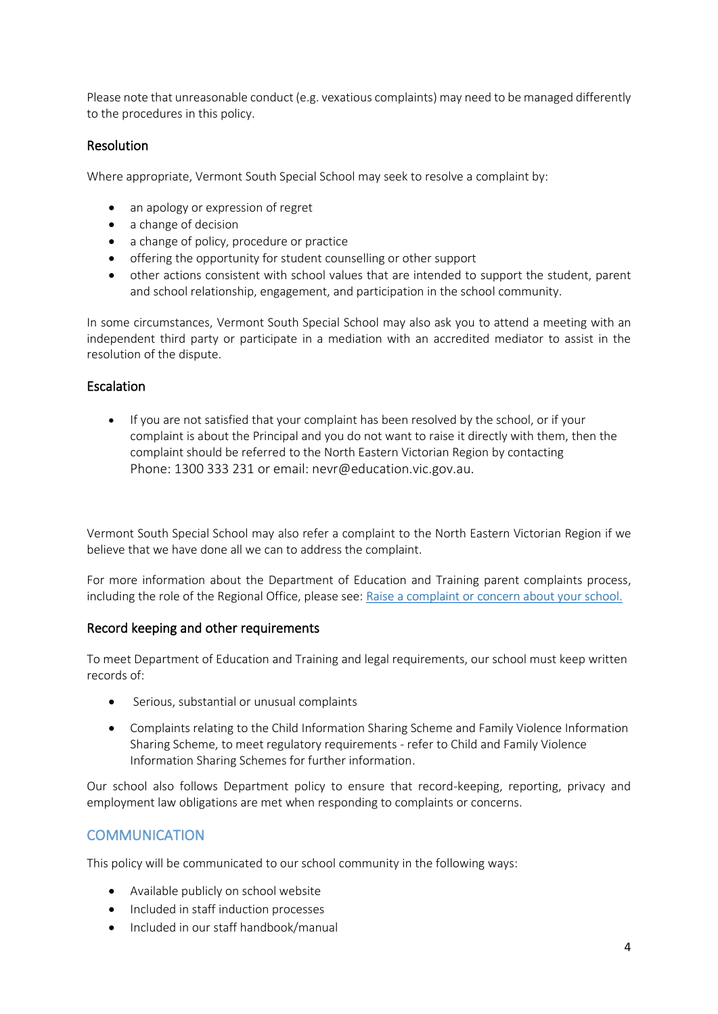Please note that unreasonable conduct (e.g. vexatious complaints) may need to be managed differently to the procedures in this policy.

#### Resolution

Where appropriate, Vermont South Special School may seek to resolve a complaint by:

- an apology or expression of regret
- a change of decision
- a change of policy, procedure or practice
- offering the opportunity for student counselling or other support
- other actions consistent with school values that are intended to support the student, parent and school relationship, engagement, and participation in the school community.

In some circumstances, Vermont South Special School may also ask you to attend a meeting with an independent third party or participate in a mediation with an accredited mediator to assist in the resolution of the dispute.

#### Escalation

• If you are not satisfied that your complaint has been resolved by the school, or if your complaint is about the Principal and you do not want to raise it directly with them, then the complaint should be referred to the North Eastern Victorian Region by contacting Phone: [1300 333 231](tel:1300333231) or email: [nevr@education.vic.gov.au.](mailto:nevr@education.vic.gov.au)

Vermont South Special School may also refer a complaint to the North Eastern Victorian Region if we believe that we have done all we can to address the complaint.

For more information about the Department of Education and Training parent complaints process, including the role of the Regional Office, please see[: Raise a complaint or concern about your school.](https://www.vic.gov.au/raise-complaint-or-concern-about-your-school#speaking-to-your-school)

#### Record keeping and other requirements

To meet Department of Education and Training and legal requirements, our school must keep written records of:

- Serious, substantial or unusual complaints
- Complaints relating to the Child Information Sharing Scheme and Family Violence Information Sharing Scheme, to meet regulatory requirements - refer to Child and Family Violence Information Sharing Schemes for further information.

Our school also follows Department policy to ensure that record-keeping, reporting, privacy and employment law obligations are met when responding to complaints or concerns.

## **COMMUNICATION**

This policy will be communicated to our school community in the following ways:

- Available publicly on school website
- Included in staff induction processes
- Included in our staff handbook/manual